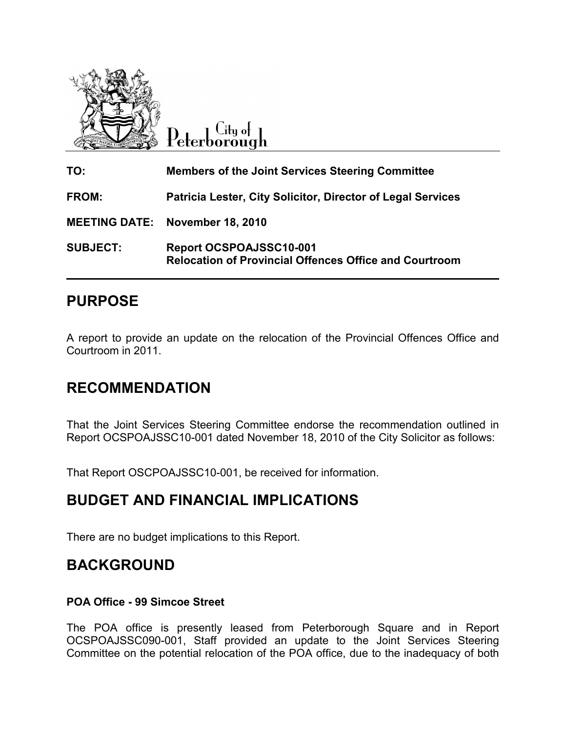

 $C$ ity of Peterborough

| TO:                  | <b>Members of the Joint Services Steering Committee</b>                                         |
|----------------------|-------------------------------------------------------------------------------------------------|
| FROM:                | Patricia Lester, City Solicitor, Director of Legal Services                                     |
| <b>MEETING DATE:</b> | <b>November 18, 2010</b>                                                                        |
| <b>SUBJECT:</b>      | <b>Report OCSPOAJSSC10-001</b><br><b>Relocation of Provincial Offences Office and Courtroom</b> |

# PURPOSE

A report to provide an update on the relocation of the Provincial Offences Office and Courtroom in 2011.

## RECOMMENDATION

That the Joint Services Steering Committee endorse the recommendation outlined in Report OCSPOAJSSC10-001 dated November 18, 2010 of the City Solicitor as follows:

That Report OSCPOAJSSC10-001, be received for information.

## BUDGET AND FINANCIAL IMPLICATIONS

There are no budget implications to this Report.

## BACKGROUND

### POA Office - 99 Simcoe Street

The POA office is presently leased from Peterborough Square and in Report OCSPOAJSSC090-001, Staff provided an update to the Joint Services Steering Committee on the potential relocation of the POA office, due to the inadequacy of both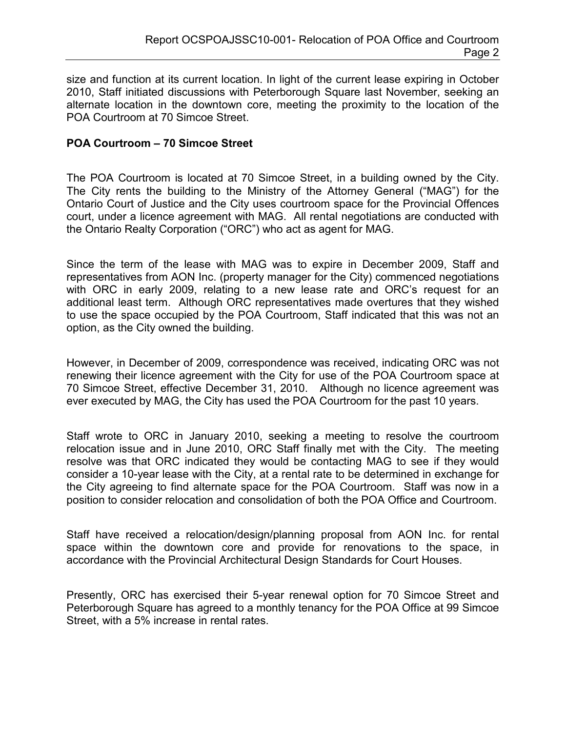size and function at its current location. In light of the current lease expiring in October 2010, Staff initiated discussions with Peterborough Square last November, seeking an alternate location in the downtown core, meeting the proximity to the location of the POA Courtroom at 70 Simcoe Street.

#### POA Courtroom – 70 Simcoe Street

The POA Courtroom is located at 70 Simcoe Street, in a building owned by the City. The City rents the building to the Ministry of the Attorney General ("MAG") for the Ontario Court of Justice and the City uses courtroom space for the Provincial Offences court, under a licence agreement with MAG. All rental negotiations are conducted with the Ontario Realty Corporation ("ORC") who act as agent for MAG.

Since the term of the lease with MAG was to expire in December 2009, Staff and representatives from AON Inc. (property manager for the City) commenced negotiations with ORC in early 2009, relating to a new lease rate and ORC's request for an additional least term. Although ORC representatives made overtures that they wished to use the space occupied by the POA Courtroom, Staff indicated that this was not an option, as the City owned the building.

However, in December of 2009, correspondence was received, indicating ORC was not renewing their licence agreement with the City for use of the POA Courtroom space at 70 Simcoe Street, effective December 31, 2010. Although no licence agreement was ever executed by MAG, the City has used the POA Courtroom for the past 10 years.

Staff wrote to ORC in January 2010, seeking a meeting to resolve the courtroom relocation issue and in June 2010, ORC Staff finally met with the City. The meeting resolve was that ORC indicated they would be contacting MAG to see if they would consider a 10-year lease with the City, at a rental rate to be determined in exchange for the City agreeing to find alternate space for the POA Courtroom. Staff was now in a position to consider relocation and consolidation of both the POA Office and Courtroom.

Staff have received a relocation/design/planning proposal from AON Inc. for rental space within the downtown core and provide for renovations to the space, in accordance with the Provincial Architectural Design Standards for Court Houses.

Presently, ORC has exercised their 5-year renewal option for 70 Simcoe Street and Peterborough Square has agreed to a monthly tenancy for the POA Office at 99 Simcoe Street, with a 5% increase in rental rates.